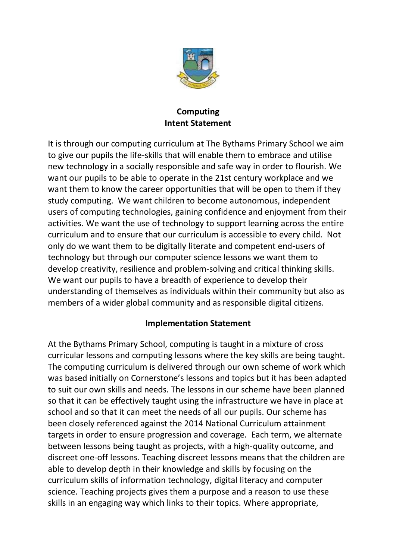

## **Computing Intent Statement**

It is through our computing curriculum at The Bythams Primary School we aim to give our pupils the life-skills that will enable them to embrace and utilise new technology in a socially responsible and safe way in order to flourish. We want our pupils to be able to operate in the 21st century workplace and we want them to know the career opportunities that will be open to them if they study computing. We want children to become autonomous, independent users of computing technologies, gaining confidence and enjoyment from their activities. We want the use of technology to support learning across the entire curriculum and to ensure that our curriculum is accessible to every child. Not only do we want them to be digitally literate and competent end-users of technology but through our computer science lessons we want them to develop creativity, resilience and problem-solving and critical thinking skills. We want our pupils to have a breadth of experience to develop their understanding of themselves as individuals within their community but also as members of a wider global community and as responsible digital citizens.

## **Implementation Statement**

At the Bythams Primary School, computing is taught in a mixture of cross curricular lessons and computing lessons where the key skills are being taught. The computing curriculum is delivered through our own scheme of work which was based initially on Cornerstone's lessons and topics but it has been adapted to suit our own skills and needs. The lessons in our scheme have been planned so that it can be effectively taught using the infrastructure we have in place at school and so that it can meet the needs of all our pupils. Our scheme has been closely referenced against the 2014 National Curriculum attainment targets in order to ensure progression and coverage. Each term, we alternate between lessons being taught as projects, with a high-quality outcome, and discreet one-off lessons. Teaching discreet lessons means that the children are able to develop depth in their knowledge and skills by focusing on the curriculum skills of information technology, digital literacy and computer science. Teaching projects gives them a purpose and a reason to use these skills in an engaging way which links to their topics. Where appropriate,